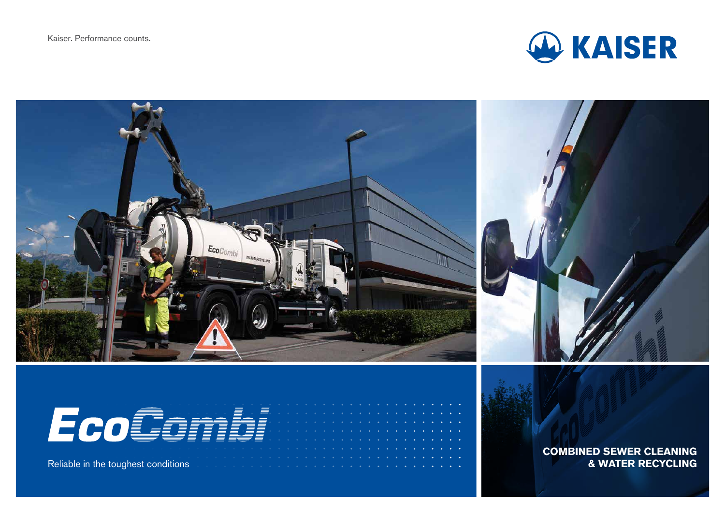



# EcoGomb

Reliable in the toughest conditions

**COMBINED SEWER CLEANING & WATER RECYCLING**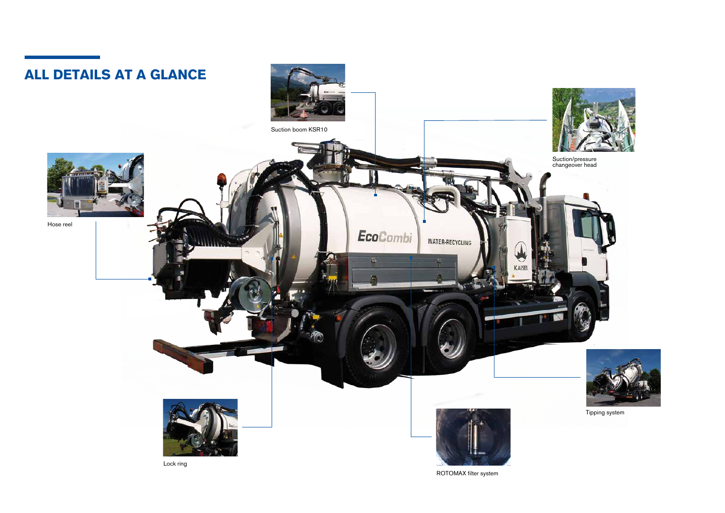

ROTOMAX filter system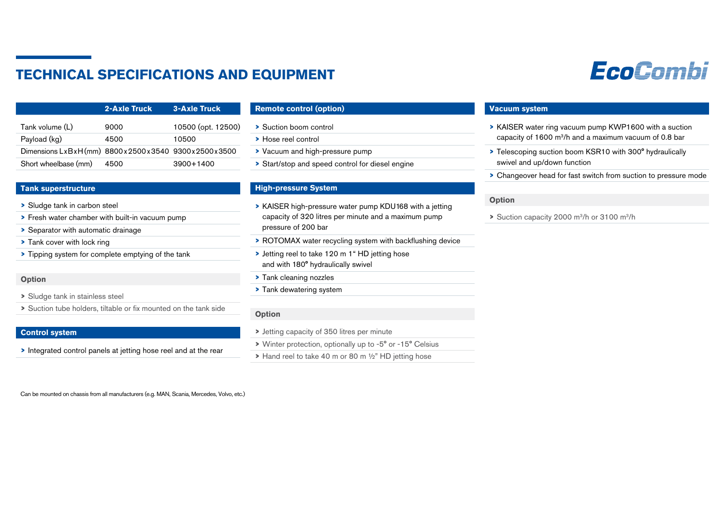## **TECHNICAL SPECIFICATIONS AND EQUIPMENT**

|                                                    | 2-Axle Truck | <b>3-Axle Truck</b> |
|----------------------------------------------------|--------------|---------------------|
| Tank volume (L)                                    | 9000         | 10500 (opt. 12500)  |
| Payload (kg)                                       | 4500         | 10500               |
| Dimensions LxBxH(mm) 8800x2500x3540 9300x2500x3500 |              |                     |
| Short wheelbase (mm)                               | 4500         | 3900+1400           |

#### **Tank superstructure**

- **>** Sludge tank in carbon steel
- **>** Fresh water chamber with built-in vacuum pump
- **>** Separator with automatic drainage
- **>** Tank cover with lock ring
- **>** Tipping system for complete emptying of the tank

#### **Option**

- **>** Sludge tank in stainless steel
- **>** Suction tube holders, tiltable or fix mounted on the tank side

#### **Control system**

**>** Integrated control panels at jetting hose reel and at the rear

#### **Remote control (option)**

- **>** Suction boom control
- **>** Hose reel control
- **>** Vacuum and high-pressure pump
- **>** Start/stop and speed control for diesel engine

#### **High-pressure System**

- **>** KAISER high-pressure water pump KDU168 with a jetting capacity of 320 litres per minute and a maximum pump pressure of 200 bar
- **>** ROTOMAX water recycling system with backflushing device
- **>** Jetting reel to take 120 m 1" HD jetting hose and with 180° hydraulically swivel
- **>** Tank cleaning nozzles
- **>** Tank dewatering system

#### **Option**

- **>** Jetting capacity of 350 litres per minute
- **>** Winter protection, optionally up to -5° or -15° Celsius
- **>** Hand reel to take 40 m or 80 m ½" HD jetting hose

#### **Vacuum system**

- **>** KAISER water ring vacuum pump KWP1600 with a suction capacity of 1600 m3/h and a maximum vacuum of 0.8 bar
- **>** Telescoping suction boom KSR10 with 300° hydraulically swivel and up/down function
- **>** Changeover head for fast switch from suction to pressure mode

#### **Option**

**>** Suction capacity 2000 m3/h or 3100 m3/h

Can be mounted on chassis from all manufacturers (e.g. MAN, Scania, Mercedes, Volvo, etc.)

# EcoCombi